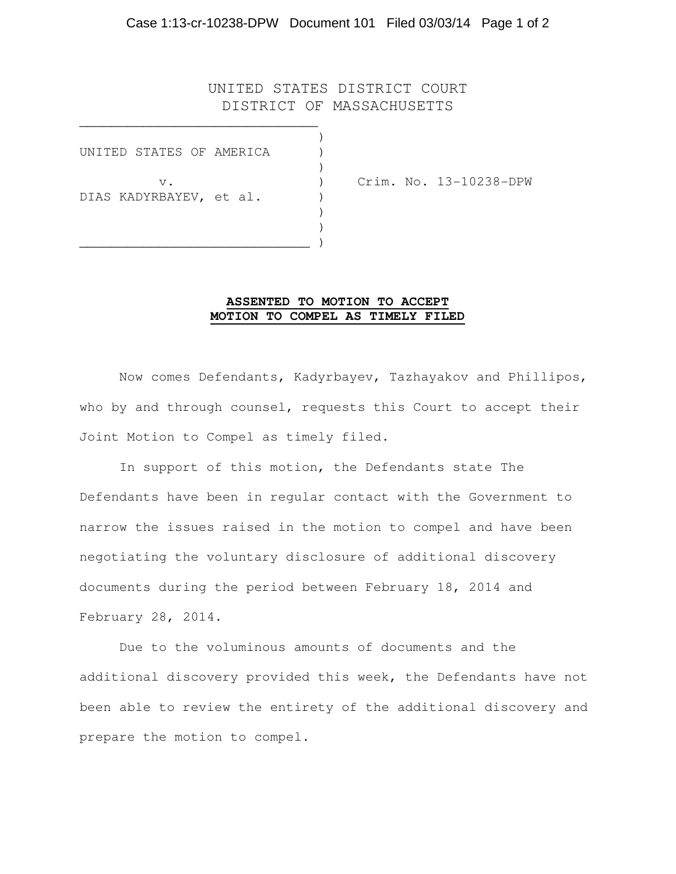## Case 1:13-cr-10238-DPW Document 101 Filed 03/03/14 Page 1 of 2

## UNITED STATES DISTRICT COURT DISTRICT OF MASSACHUSETTS

|  | UNITED STATES OF AMERICA         |  |  |  |
|--|----------------------------------|--|--|--|
|  | $V$ .<br>DIAS KADYRBAYEV, et al. |  |  |  |

 $\qquad \qquad \qquad \qquad$ 

\_\_\_\_\_\_\_\_\_\_\_\_\_\_\_\_\_\_\_\_\_\_\_\_\_\_\_\_\_\_

v. ) Crim. No. 13-10238-DPW

## **ASSENTED TO MOTION TO ACCEPT MOTION TO COMPEL AS TIMELY FILED**

 Now comes Defendants, Kadyrbayev, Tazhayakov and Phillipos, who by and through counsel, requests this Court to accept their Joint Motion to Compel as timely filed.

 In support of this motion, the Defendants state The Defendants have been in regular contact with the Government to narrow the issues raised in the motion to compel and have been negotiating the voluntary disclosure of additional discovery documents during the period between February 18, 2014 and February 28, 2014.

 Due to the voluminous amounts of documents and the additional discovery provided this week, the Defendants have not been able to review the entirety of the additional discovery and prepare the motion to compel.